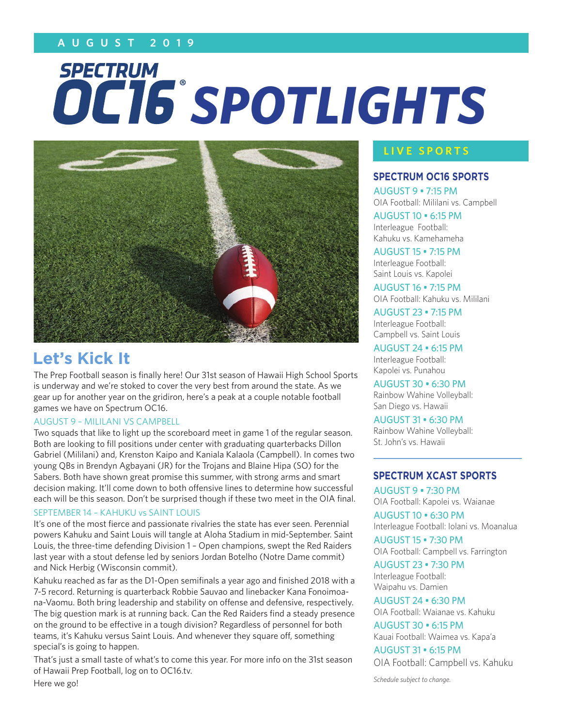# **A U G U S T 2 0 1 9**

# **SPECTRUM** *SPOTLIGHTS*



# **Let's Kick It**

The Prep Football season is finally here! Our 31st season of Hawaii High School Sports is underway and we're stoked to cover the very best from around the state. As we gear up for another year on the gridiron, here's a peak at a couple notable football games we have on Spectrum OC16.

#### AUGUST 9 – MILILANI VS CAMPBELL

Two squads that like to light up the scoreboard meet in game 1 of the regular season. Both are looking to fill positions under center with graduating quarterbacks Dillon Gabriel (Mililani) and, Krenston Kaipo and Kaniala Kalaola (Campbell). In comes two young QBs in Brendyn Agbayani (JR) for the Trojans and Blaine Hipa (SO) for the Sabers. Both have shown great promise this summer, with strong arms and smart decision making. It'll come down to both offensive lines to determine how successful each will be this season. Don't be surprised though if these two meet in the OIA final.

#### SEPTEMBER 14 – KAHUKU vs SAINT LOUIS

It's one of the most fierce and passionate rivalries the state has ever seen. Perennial powers Kahuku and Saint Louis will tangle at Aloha Stadium in mid-September. Saint Louis, the three-time defending Division 1 – Open champions, swept the Red Raiders last year with a stout defense led by seniors Jordan Botelho (Notre Dame commit) and Nick Herbig (Wisconsin commit).

Kahuku reached as far as the D1-Open semifinals a year ago and finished 2018 with a 7-5 record. Returning is quarterback Robbie Sauvao and linebacker Kana Fonoimoana-Vaomu. Both bring leadership and stability on offense and defensive, respectively. The big question mark is at running back. Can the Red Raiders find a steady presence on the ground to be effective in a tough division? Regardless of personnel for both teams, it's Kahuku versus Saint Louis. And whenever they square off, something special's is going to happen.

That's just a small taste of what's to come this year. For more info on the 31st season of Hawaii Prep Football, log on to OC16.tv.

Here we go!

#### **LIVE SPORTS**

#### **SPECTRUM OC16 SPORTS**

AUGUST 9 • 7:15 PM OIA Football: Mililani vs. Campbell

AUGUST 10 • 6:15 PM Interleague Football: Kahuku vs. Kamehameha

AUGUST 15 • 7:15 PM Interleague Football: Saint Louis vs. Kapolei

AUGUST 16 • 7:15 PM OIA Football: Kahuku vs. Mililani

AUGUST 23 • 7:15 PM Interleague Football: Campbell vs. Saint Louis

AUGUST 24 • 6:15 PM Interleague Football: Kapolei vs. Punahou

AUGUST 30 • 6:30 PM Rainbow Wahine Volleyball: San Diego vs. Hawaii

AUGUST 31 • 6:30 PM Rainbow Wahine Volleyball: St. John's vs. Hawaii

#### **SPECTRUM XCAST SPORTS**

AUGUST 9 • 7:30 PM OIA Football: Kapolei vs. Waianae

AUGUST 10 • 6:30 PM Interleague Football: Iolani vs. Moanalua

AUGUST 15 • 7:30 PM OIA Football: Campbell vs. Farrington

# AUGUST 23 • 7:30 PM

Interleague Football: Waipahu vs. Damien

AUGUST 24 • 6:30 PM OIA Football: Waianae vs. Kahuku

AUGUST 30 • 6:15 PM Kauai Football: Waimea vs. Kapa'a

AUGUST 31 • 6:15 PM OIA Football: Campbell vs. Kahuku

*Schedule subject to change.*